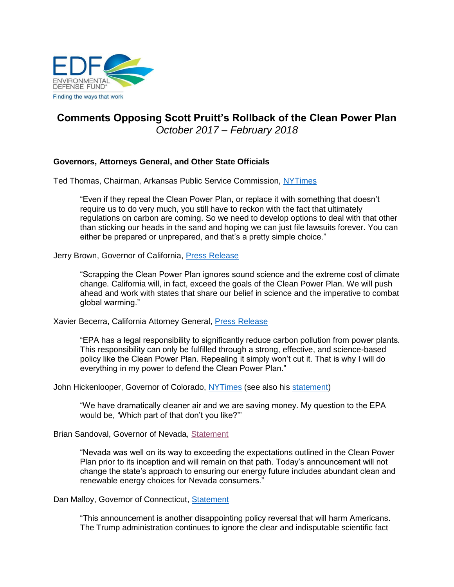

# **Comments Opposing Scott Pruitt's Rollback of the Clean Power Plan** *October 2017 – February 2018*

# **Governors, Attorneys General, and Other State Officials**

Ted Thomas, Chairman, Arkansas Public Service Commission, [NYTimes](https://www.nytimes.com/2017/10/09/climate/clean-power-plan.html?_r=0)

"Even if they repeal the Clean Power Plan, or replace it with something that doesn't require us to do very much, you still have to reckon with the fact that ultimately regulations on carbon are coming. So we need to develop options to deal with that other than sticking our heads in the sand and hoping we can just file lawsuits forever. You can either be prepared or unprepared, and that's a pretty simple choice."

Jerry Brown, Governor of California, [Press Release](https://www.gov.ca.gov/news.php?id=19996)

"Scrapping the Clean Power Plan ignores sound science and the extreme cost of climate change. California will, in fact, exceed the goals of the Clean Power Plan. We will push ahead and work with states that share our belief in science and the imperative to combat global warming."

Xavier Becerra, California Attorney General, [Press Release](https://www.oag.ca.gov/news/press-releases/attorney-general-becerra-responds-trump-administration-beginning-process)

"EPA has a legal responsibility to significantly reduce carbon pollution from power plants. This responsibility can only be fulfilled through a strong, effective, and science-based policy like the Clean Power Plan. Repealing it simply won't cut it. That is why I will do everything in my power to defend the Clean Power Plan."

John Hickenlooper, Governor of Colorado, [NYTimes](https://www.nytimes.com/2017/10/09/climate/clean-power-plan.html?_r=0) (see also his [statement\)](https://www.colorado.gov/governor/news/gov-hickenlooper%E2%80%99s-statement-repeal-clean-power-plan)

"We have dramatically cleaner air and we are saving money. My question to the EPA would be, 'Which part of that don't you like?'"

Brian Sandoval, Governor of Nevada, [Statement](https://thenevadaindependent.com/article/the-indy-explains-what-repealing-the-clean-power-plan-means-for-nevada)

"Nevada was well on its way to exceeding the expectations outlined in the Clean Power Plan prior to its inception and will remain on that path. Today's announcement will not change the state's approach to ensuring our energy future includes abundant clean and renewable energy choices for Nevada consumers."

Dan Malloy, Governor of Connecticut, [Statement](http://portal.ct.gov/Office-of-the-Governor/Press-Room/Press-Releases/2017/10-2017/Gov-Malloy-Lt-Gov-Wyman-Condemn-the-Trump-Administrations-Decision-to-Repeal-the-Clean-Power-Plan)

"This announcement is another disappointing policy reversal that will harm Americans. The Trump administration continues to ignore the clear and indisputable scientific fact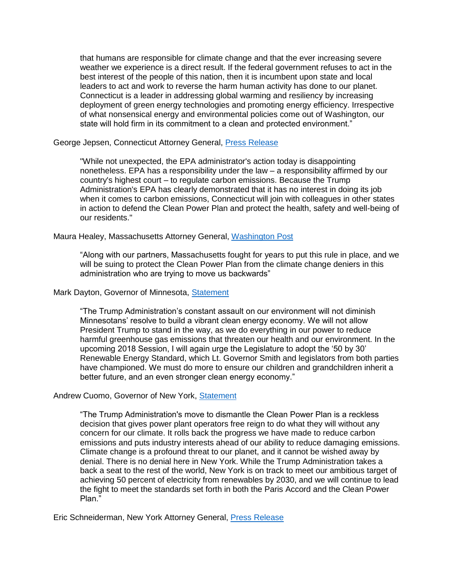that humans are responsible for climate change and that the ever increasing severe weather we experience is a direct result. If the federal government refuses to act in the best interest of the people of this nation, then it is incumbent upon state and local leaders to act and work to reverse the harm human activity has done to our planet. Connecticut is a leader in addressing global warming and resiliency by increasing deployment of green energy technologies and promoting energy efficiency. Irrespective of what nonsensical energy and environmental policies come out of Washington, our state will hold firm in its commitment to a clean and protected environment."

### George Jepsen, Connecticut Attorney General, [Press Release](http://www.ct.gov/ag/cwp/view.asp?A=2341&Q=596848)

"While not unexpected, the EPA administrator's action today is disappointing nonetheless. EPA has a responsibility under the law – a responsibility affirmed by our country's highest court – to regulate carbon emissions. Because the Trump Administration's EPA has clearly demonstrated that it has no interest in doing its job when it comes to carbon emissions, Connecticut will join with colleagues in other states in action to defend the Clean Power Plan and protect the health, safety and well-being of our residents."

### Maura Healey, Massachusetts Attorney General, [Washington Post](https://www.washingtonpost.com/news/energy-environment/wp/2017/10/09/pruitt-tells-coal-miners-he-will-repeal-power-plan-rule-tuesday-the-war-on-coal-is-over/?utm_term=.96822944041a)

"Along with our partners, Massachusetts fought for years to put this rule in place, and we will be suing to protect the Clean Power Plan from the climate change deniers in this administration who are trying to move us backwards"

#### Mark Dayton, Governor of Minnesota, [Statement](https://mn.gov/governor/newsroom/#/detail/appId/1/id/314481)

"The Trump Administration's constant assault on our environment will not diminish Minnesotans' resolve to build a vibrant clean energy economy. We will not allow President Trump to stand in the way, as we do everything in our power to reduce harmful greenhouse gas emissions that threaten our health and our environment. In the upcoming 2018 Session, I will again urge the Legislature to adopt the '50 by 30' Renewable Energy Standard, which Lt. Governor Smith and legislators from both parties have championed. We must do more to ensure our children and grandchildren inherit a better future, and an even stronger clean energy economy."

#### Andrew Cuomo, Governor of New York, [Statement](https://www.governor.ny.gov/news/statement-governor-andrew-m-cuomo-162)

"The Trump Administration's move to dismantle the Clean Power Plan is a reckless decision that gives power plant operators free reign to do what they will without any concern for our climate. It rolls back the progress we have made to reduce carbon emissions and puts industry interests ahead of our ability to reduce damaging emissions. Climate change is a profound threat to our planet, and it cannot be wished away by denial. There is no denial here in New York. While the Trump Administration takes a back a seat to the rest of the world, New York is on track to meet our ambitious target of achieving 50 percent of electricity from renewables by 2030, and we will continue to lead the fight to meet the standards set forth in both the Paris Accord and the Clean Power Plan."

Eric Schneiderman, New York Attorney General, [Press Release](https://ag.ny.gov/press-release/ag-schneiderman-clean-power-plan-i-will-sue-stop-repeal)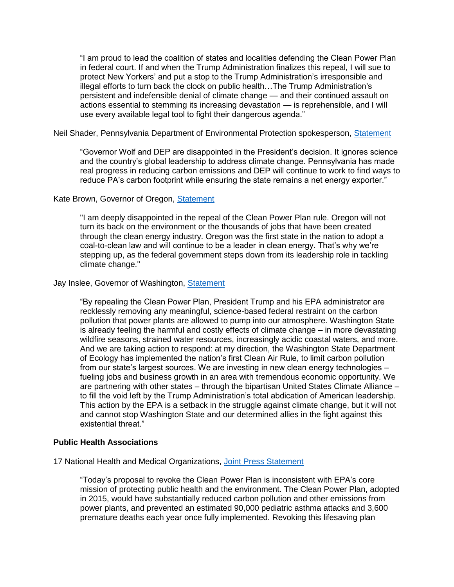"I am proud to lead the coalition of states and localities defending the Clean Power Plan in federal court. If and when the Trump Administration finalizes this repeal, I will sue to protect New Yorkers' and put a stop to the Trump Administration's irresponsible and illegal efforts to turn back the clock on public health…The Trump Administration's persistent and indefensible denial of climate change — and their continued assault on actions essential to stemming its increasing devastation — is reprehensible, and I will use every available legal tool to fight their dangerous agenda."

Neil Shader, Pennsylvania Department of Environmental Protection spokesperson, [Statement](https://stateimpact.npr.org/pennsylvania/2017/10/09/revoking-clean-power-plan-could-have-big-pa-impact/)

"Governor Wolf and DEP are disappointed in the President's decision. It ignores science and the country's global leadership to address climate change. Pennsylvania has made real progress in reducing carbon emissions and DEP will continue to work to find ways to reduce PA's carbon footprint while ensuring the state remains a net energy exporter."

# Kate Brown, Governor of Oregon, **Statement**

"I am deeply disappointed in the repeal of the Clean Power Plan rule. Oregon will not turn its back on the environment or the thousands of jobs that have been created through the clean energy industry. Oregon was the first state in the nation to adopt a coal-to-clean law and will continue to be a leader in clean energy. That's why we're stepping up, as the federal government steps down from its leadership role in tackling climate change."

# Jay Inslee, Governor of Washington, [Statement](https://www.facebook.com/WaStateGov/posts/949921061821675)

"By repealing the Clean Power Plan, President Trump and his EPA administrator are recklessly removing any meaningful, science-based federal restraint on the carbon pollution that power plants are allowed to pump into our atmosphere. Washington State is already feeling the harmful and costly effects of climate change – in more devastating wildfire seasons, strained water resources, increasingly acidic coastal waters, and more. And we are taking action to respond: at my direction, the Washington State Department of Ecology has implemented the nation's first Clean Air Rule, to limit carbon pollution from our state's largest sources. We are investing in new clean energy technologies – fueling jobs and business growth in an area with tremendous economic opportunity. We are partnering with other states – through the bipartisan United States Climate Alliance – to fill the void left by the Trump Administration's total abdication of American leadership. This action by the EPA is a setback in the struggle against climate change, but it will not and cannot stop Washington State and our determined allies in the fight against this existential threat."

## **Public Health Associations**

17 National Health and Medical Organizations, [Joint Press Statement](http://www.lung.org/about-us/media/press-releases/clean-power-plan.html#.Wd0M_yhIhpY.twitter?referrer=https://t.co/ohOCJgCS7J)

"Today's proposal to revoke the Clean Power Plan is inconsistent with EPA's core mission of protecting public health and the environment. The Clean Power Plan, adopted in 2015, would have substantially reduced carbon pollution and other emissions from power plants, and prevented an estimated 90,000 pediatric asthma attacks and 3,600 premature deaths each year once fully implemented. Revoking this lifesaving plan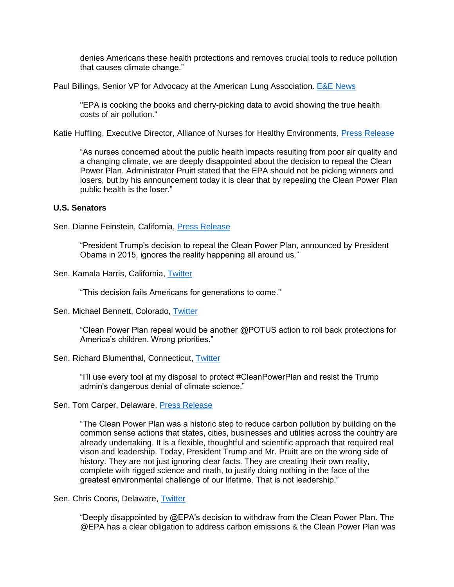denies Americans these health protections and removes crucial tools to reduce pollution that causes climate change."

Paul Billings, Senior VP for Advocacy at the American Lung Association. [E&E News](https://www.eenews.net/eenewspm/2017/10/06/stories/1060062977)

"EPA is cooking the books and cherry-picking data to avoid showing the true health costs of air pollution."

Katie Huffling, Executive Director, Alliance of Nurses for Healthy Environments, *Press Release* 

"As nurses concerned about the public health impacts resulting from poor air quality and a changing climate, we are deeply disappointed about the decision to repeal the Clean Power Plan. Administrator Pruitt stated that the EPA should not be picking winners and losers, but by his announcement today it is clear that by repealing the Clean Power Plan public health is the loser."

# **U.S. Senators**

Sen. Dianne Feinstein, California, [Press Release](https://www.feinstein.senate.gov/public/index.cfm/press-releases?id=30CDC352-1E9E-4FAC-AB1B-8D5DDF5BF0C7)

"President Trump's decision to repeal the Clean Power Plan, announced by President Obama in 2015, ignores the reality happening all around us."

Sen. Kamala Harris, California, [Twitter](https://twitter.com/SenKamalaHarris/status/917503858389192704)

"This decision fails Americans for generations to come."

## Sen. Michael Bennett, Colorado, [Twitter](https://twitter.com/SenBennetCO/status/916410878257397765)

"Clean Power Plan repeal would be another @POTUS action to roll back protections for America's children. Wrong priorities."

## Sen. Richard Blumenthal, Connecticut, [Twitter](https://twitter.com/SenBlumenthal/status/917828094404292609)

"I'll use every tool at my disposal to protect #CleanPowerPlan and resist the Trump admin's dangerous denial of climate science."

Sen. Tom Carper, Delaware, [Press Release](https://www.carper.senate.gov/public/index.cfm/pressreleases?ID=FBC2100D-5EC5-432D-A735-BDEC0E2CEFC9)

"The Clean Power Plan was a historic step to reduce carbon pollution by building on the common sense actions that states, cities, businesses and utilities across the country are already undertaking. It is a flexible, thoughtful and scientific approach that required real vison and leadership. Today, President Trump and Mr. Pruitt are on the wrong side of history. They are not just ignoring clear facts. They are creating their own reality, complete with rigged science and math, to justify doing nothing in the face of the greatest environmental challenge of our lifetime. That is not leadership."

Sen. Chris Coons, Delaware, [Twitter](https://twitter.com/ChrisCoons)

"Deeply disappointed by @EPA's decision to withdraw from the Clean Power Plan. The @EPA has a clear obligation to address carbon emissions & the Clean Power Plan was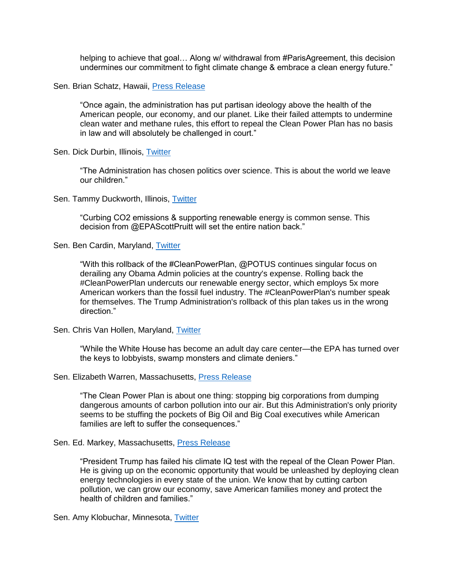helping to achieve that goal… Along w/ withdrawal from #ParisAgreement, this decision undermines our commitment to fight climate change & embrace a clean energy future."

#### Sen. Brian Schatz, Hawaii, [Press Release](https://www.schatz.senate.gov/press-releases/schatz-statement-on-trump-administrations-decision-to-repeal-the-clean-power-plan)

"Once again, the administration has put partisan ideology above the health of the American people, our economy, and our planet. Like their failed attempts to undermine clean water and methane rules, this effort to repeal the Clean Power Plan has no basis in law and will absolutely be challenged in court."

Sen. Dick Durbin, Illinois, [Twitter](https://twitter.com/SenatorDurbin/status/917473115143393281)

"The Administration has chosen politics over science. This is about the world we leave our children."

#### Sen. Tammy Duckworth, Illinois, [Twitter](https://twitter.com/SenDuckworth/status/917871621322559489)

"Curbing CO2 emissions & supporting renewable energy is common sense. This decision from @EPAScottPruitt will set the entire nation back."

Sen. Ben Cardin, Maryland, [Twitter](https://twitter.com/SenatorCardin/status/917839653142634496)

"With this rollback of the #CleanPowerPlan, @POTUS continues singular focus on derailing any Obama Admin policies at the country's expense. Rolling back the #CleanPowerPlan undercuts our renewable energy sector, which employs 5x more American workers than the fossil fuel industry. The #CleanPowerPlan's number speak for themselves. The Trump Administration's rollback of this plan takes us in the wrong direction."

Sen. Chris Van Hollen, Maryland, [Twitter](https://twitter.com/ChrisVanHollen/status/917529316824702976)

"While the White House has become an adult day care center—the EPA has turned over the keys to lobbyists, swamp monsters and climate deniers."

#### Sen. Elizabeth Warren, Massachusetts, [Press Release](https://www.warren.senate.gov/?p=press_release&id=1946)

"The Clean Power Plan is about one thing: stopping big corporations from dumping dangerous amounts of carbon pollution into our air. But this Administration's only priority seems to be stuffing the pockets of Big Oil and Big Coal executives while American families are left to suffer the consequences."

#### Sen. Ed. Markey, Massachusetts, [Press Release](https://www.markey.senate.gov/news/press-releases/senator-markey-trump-fails-climate-iq-test-with-repeal-of-clean-power-plan)

"President Trump has failed his climate IQ test with the repeal of the Clean Power Plan. He is giving up on the economic opportunity that would be unleashed by deploying clean energy technologies in every state of the union. We know that by cutting carbon pollution, we can grow our economy, save American families money and protect the health of children and families."

Sen. Amy Klobuchar, Minnesota, [Twitter](https://twitter.com/amyklobuchar/status/917494862215303169)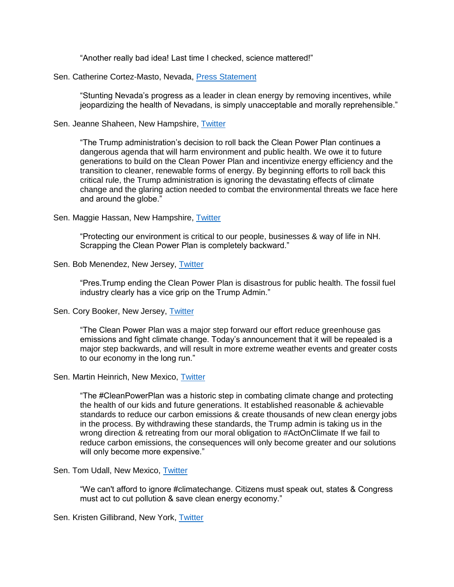"Another really bad idea! Last time I checked, science mattered!"

### Sen. Catherine Cortez-Masto, Nevada, [Press Statement](https://thenevadaindependent.com/article/the-indy-explains-what-repealing-the-clean-power-plan-means-for-nevada)

"Stunting Nevada's progress as a leader in clean energy by removing incentives, while jeopardizing the health of Nevadans, is simply unacceptable and morally reprehensible."

Sen. Jeanne Shaheen, New Hampshire, [Twitter](https://twitter.com/SenatorShaheen/status/917815036042760193)

"The Trump administration's decision to roll back the Clean Power Plan continues a dangerous agenda that will harm environment and public health. We owe it to future generations to build on the Clean Power Plan and incentivize energy efficiency and the transition to cleaner, renewable forms of energy. By beginning efforts to roll back this critical rule, the Trump administration is ignoring the devastating effects of climate change and the glaring action needed to combat the environmental threats we face here and around the globe."

### Sen. Maggie Hassan, New Hampshire, [Twitter](https://twitter.com/SenatorHassan/status/917800925103837185)

"Protecting our environment is critical to our people, businesses & way of life in NH. Scrapping the Clean Power Plan is completely backward."

#### Sen. Bob Menendez, New Jersey, [Twitter](https://twitter.com/SenatorMenendez/status/917914127653273605)

"Pres.Trump ending the Clean Power Plan is disastrous for public health. The fossil fuel industry clearly has a vice grip on the Trump Admin."

#### Sen. Cory Booker, New Jersey, [Twitter](https://twitter.com/Lyncherator/status/917829606601908226)

"The Clean Power Plan was a major step forward our effort reduce greenhouse gas emissions and fight climate change. Today's announcement that it will be repealed is a major step backwards, and will result in more extreme weather events and greater costs to our economy in the long run."

#### Sen. Martin Heinrich, New Mexico, [Twitter](https://twitter.com/MartinHeinrich)

"The #CleanPowerPlan was a historic step in combating climate change and protecting the health of our kids and future generations. It established reasonable & achievable standards to reduce our carbon emissions & create thousands of new clean energy jobs in the process. By withdrawing these standards, the Trump admin is taking us in the wrong direction & retreating from our moral obligation to #ActOnClimate If we fail to reduce carbon emissions, the consequences will only become greater and our solutions will only become more expensive."

#### Sen. Tom Udall, New Mexico, [Twitter](https://twitter.com/SenatorTomUdall/status/917461968461627393)

"We can't afford to ignore #climatechange. Citizens must speak out, states & Congress must act to cut pollution & save clean energy economy."

## Sen. Kristen Gillibrand, New York, [Twitter](https://twitter.com/SenGillibrand/status/917503184331067392)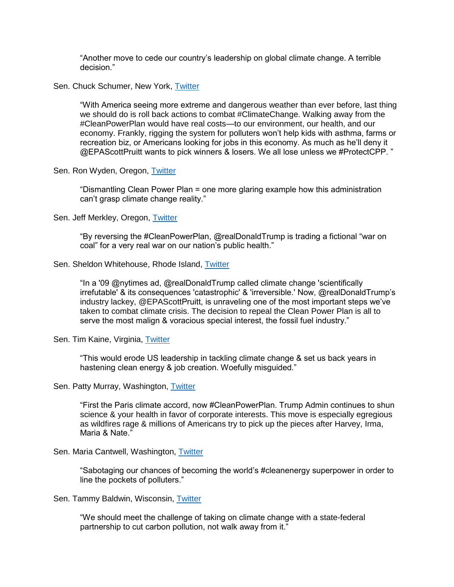"Another move to cede our country's leadership on global climate change. A terrible decision."

Sen. Chuck Schumer, New York, [Twitter](https://twitter.com/SenSchumer/status/917818190826270720)

"With America seeing more extreme and dangerous weather than ever before, last thing we should do is roll back actions to combat #ClimateChange. Walking away from the #CleanPowerPlan would have real costs—to our environment, our health, and our economy. Frankly, rigging the system for polluters won't help kids with asthma, farms or recreation biz, or Americans looking for jobs in this economy. As much as he'll deny it @EPAScottPruitt wants to pick winners & losers. We all lose unless we #ProtectCPP. "

Sen. Ron Wyden, Oregon, [Twitter](https://twitter.com/RonWyden/status/917439437843210241)

"Dismantling Clean Power Plan = one more glaring example how this administration can't grasp climate change reality."

Sen. Jeff Merkley, Oregon, [Twitter](https://twitter.com/SenJeffMerkley/status/917834643956740096)

"By reversing the #CleanPowerPlan, @realDonaldTrump is trading a fictional "war on coal" for a very real war on our nation's public health."

### Sen. Sheldon Whitehouse, Rhode Island, [Twitter](https://twitter.com/SenWhitehouse/status/917840836024586240)

"In a '09 @nytimes ad, @realDonaldTrump called climate change 'scientifically irrefutable' & its consequences 'catastrophic' & 'irreversible.' Now, @realDonaldTrump's industry lackey, @EPAScottPruitt, is unraveling one of the most important steps we've taken to combat climate crisis. The decision to repeal the Clean Power Plan is all to serve the most malign & voracious special interest, the fossil fuel industry."

Sen. Tim Kaine, Virginia, [Twitter](https://twitter.com/timkaine/status/917421685313294337)

"This would erode US leadership in tackling climate change & set us back years in hastening clean energy & job creation. Woefully misguided."

# Sen. Patty Murray, Washington, [Twitter](https://twitter.com/PattyMurray/status/917530644170846208)

"First the Paris climate accord, now #CleanPowerPlan. Trump Admin continues to shun science & your health in favor of corporate interests. This move is especially egregious as wildfires rage & millions of Americans try to pick up the pieces after Harvey, Irma, Maria & Nate."

## Sen. Maria Cantwell, Washington, [Twitter](https://twitter.com/SenatorCantwell/status/917900302400897024)

"Sabotaging our chances of becoming the world's #cleanenergy superpower in order to line the pockets of polluters."

Sen. Tammy Baldwin, Wisconsin, [Twitter](https://twitter.com/SenatorBaldwin/status/917838512644415489)

"We should meet the challenge of taking on climate change with a state-federal partnership to cut carbon pollution, not walk away from it."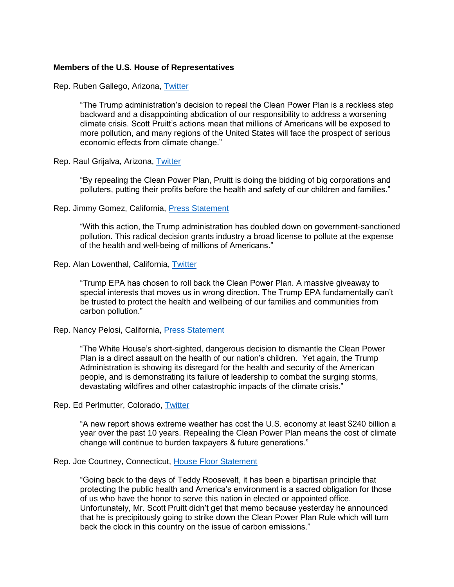#### **Members of the U.S. House of Representatives**

Rep. Ruben Gallego, Arizona, [Twitter](https://twitter.com/RepRubenGallego/status/917834332898816003)

"The Trump administration's decision to repeal the Clean Power Plan is a reckless step backward and a disappointing abdication of our responsibility to address a worsening climate crisis. Scott Pruitt's actions mean that millions of Americans will be exposed to more pollution, and many regions of the United States will face the prospect of serious economic effects from climate change."

Rep. Raul Grijalva, Arizona, [Twitter](https://twitter.com/RepRaulGrijalva/status/917753731403403265)

"By repealing the Clean Power Plan, Pruitt is doing the bidding of big corporations and polluters, putting their profits before the health and safety of our children and families."

#### Rep. Jimmy Gomez, California, [Press Statement](https://gomez.house.gov/media/press-releases/congressman-jimmy-gomez-trump-administration-s-repeal-clean-power-plan-epa-pruitt)

"With this action, the Trump administration has doubled down on government-sanctioned pollution. This radical decision grants industry a broad license to pollute at the expense of the health and well-being of millions of Americans."

Rep. Alan Lowenthal, California, [Twitter](https://twitter.com/RepLowenthal/status/917840503844036608)

"Trump EPA has chosen to roll back the Clean Power Plan. A massive giveaway to special interests that moves us in wrong direction. The Trump EPA fundamentally can't be trusted to protect the health and wellbeing of our families and communities from carbon pollution."

#### Rep. Nancy Pelosi, California, [Press Statement](https://www.democraticleader.gov/newsroom/101017/)

"The White House's short-sighted, dangerous decision to dismantle the Clean Power Plan is a direct assault on the health of our nation's children. Yet again, the Trump Administration is showing its disregard for the health and security of the American people, and is demonstrating its failure of leadership to combat the surging storms, devastating wildfires and other catastrophic impacts of the climate crisis."

Rep. Ed Perlmutter, Colorado, [Twitter](https://twitter.com/RepPerlmutter/status/917813732604039168)

"A new report shows extreme weather has cost the U.S. economy at least \$240 billion a year over the past 10 years. Repealing the Clean Power Plan means the cost of climate change will continue to burden taxpayers & future generations."

#### Rep. Joe Courtney, Connecticut, [House Floor Statement](https://www.youtube.com/watch?v=v0VRIWOZCHE)

"Going back to the days of Teddy Roosevelt, it has been a bipartisan principle that protecting the public health and America's environment is a sacred obligation for those of us who have the honor to serve this nation in elected or appointed office. Unfortunately, Mr. Scott Pruitt didn't get that memo because yesterday he announced that he is precipitously going to strike down the Clean Power Plan Rule which will turn back the clock in this country on the issue of carbon emissions."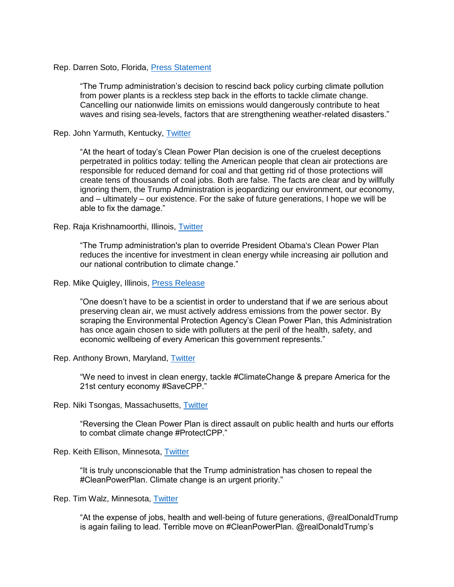### Rep. Darren Soto, Florida, [Press Statement](https://soto.house.gov/media/press-releases/rep-soto-repealing-clean-power-plan-harms-americans-and-economy)

"The Trump administration's decision to rescind back policy curbing climate pollution from power plants is a reckless step back in the efforts to tackle climate change. Cancelling our nationwide limits on emissions would dangerously contribute to heat waves and rising sea-levels, factors that are strengthening weather-related disasters."

#### Rep. John Yarmuth, Kentucky, [Twitter](https://twitter.com/RepJohnYarmuth/status/917846906805645312)

"At the heart of today's Clean Power Plan decision is one of the cruelest deceptions perpetrated in politics today: telling the American people that clean air protections are responsible for reduced demand for coal and that getting rid of those protections will create tens of thousands of coal jobs. Both are false. The facts are clear and by willfully ignoring them, the Trump Administration is jeopardizing our environment, our economy, and – ultimately – our existence. For the sake of future generations, I hope we will be able to fix the damage."

#### Rep. Raja Krishnamoorthi, Illinois, [Twitter](https://twitter.com/CongressmanRaja/status/917841479388860416)

"The Trump administration's plan to override President Obama's Clean Power Plan reduces the incentive for investment in clean energy while increasing air pollution and our national contribution to climate change."

#### Rep. Mike Quigley, Illinois, [Press Release](https://quigley.house.gov/media-center/press-releases/quigley-statement-trump-administration-s-decision-repeal-clean-power)

"One doesn't have to be a scientist in order to understand that if we are serious about preserving clean air, we must actively address emissions from the power sector. By scraping the Environmental Protection Agency's Clean Power Plan, this Administration has once again chosen to side with polluters at the peril of the health, safety, and economic wellbeing of every American this government represents."

#### Rep. Anthony Brown, Maryland, [Twitter](https://twitter.com/RepAnthonyBrown/status/917823539373379586)

"We need to invest in clean energy, tackle #ClimateChange & prepare America for the 21st century economy #SaveCPP."

## Rep. Niki Tsongas, Massachusetts, [Twitter](https://twitter.com/nikiinthehouse/status/917773070294769664)

"Reversing the Clean Power Plan is direct assault on public health and hurts our efforts to combat climate change #ProtectCPP."

Rep. Keith Ellison, Minnesota, [Twitter](https://twitter.com/keithellison/status/917760143949000705)

"It is truly unconscionable that the Trump administration has chosen to repeal the #CleanPowerPlan. Climate change is an urgent priority."

Rep. Tim Walz, Minnesota, [Twitter](https://twitter.com/RepTimWalz/status/917813854616408065)

"At the expense of jobs, health and well-being of future generations, @realDonaldTrump is again failing to lead. Terrible move on #CleanPowerPlan. @realDonaldTrump's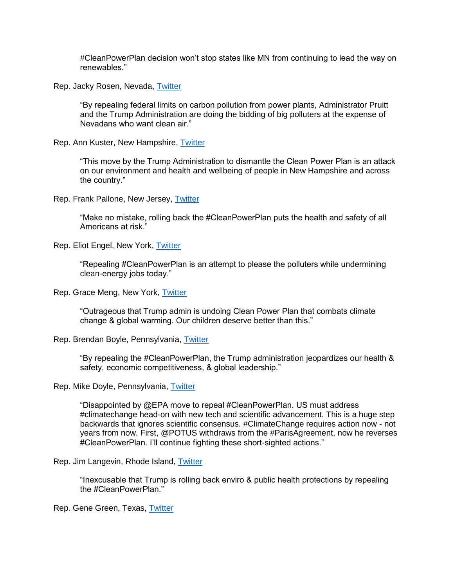#CleanPowerPlan decision won't stop states like MN from continuing to lead the way on renewables."

Rep. Jacky Rosen, Nevada, [Twitter](https://twitter.com/RepJackyRosen/status/917849320577294338)

"By repealing federal limits on carbon pollution from power plants, Administrator Pruitt and the Trump Administration are doing the bidding of big polluters at the expense of Nevadans who want clean air."

Rep. Ann Kuster, New Hampshire, [Twitter](https://twitter.com/RepAnnieKuster/status/917840167892869122)

"This move by the Trump Administration to dismantle the Clean Power Plan is an attack on our environment and health and wellbeing of people in New Hampshire and across the country."

Rep. Frank Pallone, New Jersey, [Twitter](https://twitter.com/FrankPallone/status/917837313841008640)

"Make no mistake, rolling back the #CleanPowerPlan puts the health and safety of all Americans at risk."

Rep. Eliot Engel, New York, [Twitter](https://twitter.com/RepEliotEngel/status/917837668301656070)

"Repealing #CleanPowerPlan is an attempt to please the polluters while undermining clean-energy jobs today."

Rep. Grace Meng, New York, [Twitter](https://twitter.com/RepGraceMeng/status/917829584732721152)

"Outrageous that Trump admin is undoing Clean Power Plan that combats climate change & global warming. Our children deserve better than this."

Rep. Brendan Boyle, Pennsylvania, [Twitter](https://twitter.com/CongBoyle/status/917825025172037632)

"By repealing the #CleanPowerPlan, the Trump administration jeopardizes our health & safety, economic competitiveness, & global leadership."

Rep. Mike Doyle, Pennsylvania, [Twitter](https://twitter.com/USRepMikeDoyle/status/917835243842949120)

"Disappointed by @EPA move to repeal #CleanPowerPlan. US must address #climatechange head-on with new tech and scientific advancement. This is a huge step backwards that ignores scientific consensus. #ClimateChange requires action now - not years from now. First, @POTUS withdraws from the #ParisAgreement, now he reverses #CleanPowerPlan. I'll continue fighting these short-sighted actions."

Rep. Jim Langevin, Rhode Island, [Twitter](https://twitter.com/JimLangevin/status/917834207082242052)

"Inexcusable that Trump is rolling back enviro & public health protections by repealing the #CleanPowerPlan."

Rep. Gene Green, Texas, [Twitter](https://twitter.com/RepGeneGreen/status/917818886422188033)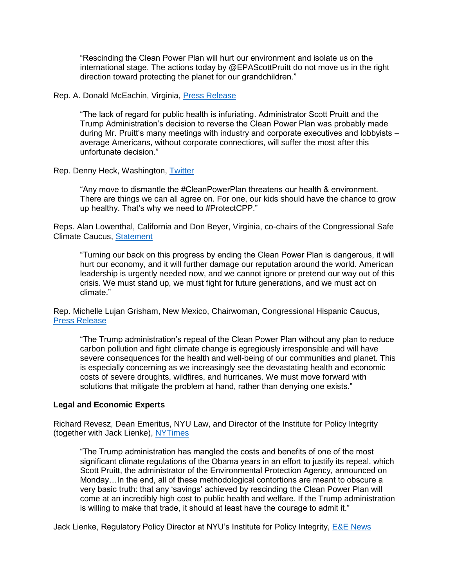"Rescinding the Clean Power Plan will hurt our environment and isolate us on the international stage. The actions today by @EPAScottPruitt do not move us in the right direction toward protecting the planet for our grandchildren."

Rep. A. Donald McEachin, Virginia, [Press Release](https://mceachin.house.gov/media/press-releases/mceachin-statement-clean-power-plan-reversal)

"The lack of regard for public health is infuriating. Administrator Scott Pruitt and the Trump Administration's decision to reverse the Clean Power Plan was probably made during Mr. Pruitt's many meetings with industry and corporate executives and lobbyists – average Americans, without corporate connections, will suffer the most after this unfortunate decision."

Rep. Denny Heck, Washington, [Twitter](https://twitter.com/RepDennyHeck/status/917762901116456960)

"Any move to dismantle the #CleanPowerPlan threatens our health & environment. There are things we can all agree on. For one, our kids should have the chance to grow up healthy. That's why we need to #ProtectCPP."

Reps. Alan Lowenthal, California and Don Beyer, Virginia, co-chairs of the Congressional Safe Climate Caucus, [Statement](https://protect-us.mimecast.com/s/vlROBgHOWvVF0?domain=safeclimatecaucus-lowenthal.house.gov)

"Turning our back on this progress by ending the Clean Power Plan is dangerous, it will hurt our economy, and it will further damage our reputation around the world. American leadership is urgently needed now, and we cannot ignore or pretend our way out of this crisis. We must stand up, we must fight for future generations, and we must act on climate."

Rep. Michelle Lujan Grisham, New Mexico, Chairwoman, Congressional Hispanic Caucus, [Press Release](https://congressionalhispaniccaucus-lujangrisham.house.gov/media-center/press-releases/chc-chair-says-clean-power-plan-repeal-puts-the-health-of-americans-at)

"The Trump administration's repeal of the Clean Power Plan without any plan to reduce carbon pollution and fight climate change is egregiously irresponsible and will have severe consequences for the health and well-being of our communities and planet. This is especially concerning as we increasingly see the devastating health and economic costs of severe droughts, wildfires, and hurricanes. We must move forward with solutions that mitigate the problem at hand, rather than denying one exists."

## **Legal and Economic Experts**

Richard Revesz, Dean Emeritus, NYU Law, and Director of the Institute for Policy Integrity (together with Jack Lienke), [NYTimes](https://www.nytimes.com/2017/10/09/opinion/environmental-protection-obama-pruitt.html?_r=0)

"The Trump administration has mangled the costs and benefits of one of the most significant climate regulations of the Obama years in an effort to justify its repeal, which Scott Pruitt, the administrator of the Environmental Protection Agency, announced on Monday…In the end, all of these methodological contortions are meant to obscure a very basic truth: that any 'savings' achieved by rescinding the Clean Power Plan will come at an incredibly high cost to public health and welfare. If the Trump administration is willing to make that trade, it should at least have the courage to admit it."

Jack Lienke, Regulatory Policy Director at NYU's Institute for Policy Integrity, [E&E News](https://www.eenews.net/eenewspm/2017/10/06/stories/1060062977)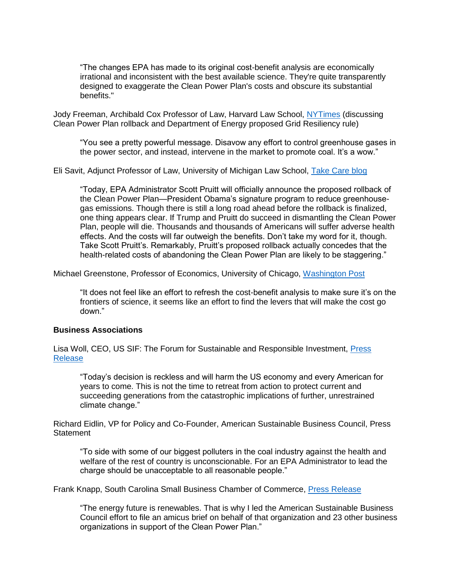"The changes EPA has made to its original cost-benefit analysis are economically irrational and inconsistent with the best available science. They're quite transparently designed to exaggerate the Clean Power Plan's costs and obscure its substantial benefits."

Jody Freeman, Archibald Cox Professor of Law, Harvard Law School, [NYTimes](https://www.nytimes.com/2017/10/09/climate/clean-power-plan.html?_r=0) (discussing Clean Power Plan rollback and Department of Energy proposed Grid Resiliency rule)

"You see a pretty powerful message. Disavow any effort to control greenhouse gases in the power sector, and instead, intervene in the market to promote coal. It's a wow."

Eli Savit, Adjunct Professor of Law, University of Michigan Law School, [Take Care blog](https://takecareblog.com/blog/epa-defies-its-own-best-analysis-of-the-clean-power-plan)

"Today, EPA Administrator Scott Pruitt will officially announce the proposed rollback of the Clean Power Plan—President Obama's signature program to reduce greenhousegas emissions. Though there is still a long road ahead before the rollback is finalized, one thing appears clear. If Trump and Pruitt do succeed in dismantling the Clean Power Plan, people will die. Thousands and thousands of Americans will suffer adverse health effects. And the costs will far outweigh the benefits. Don't take my word for it, though. Take Scott Pruitt's. Remarkably, Pruitt's proposed rollback actually concedes that the health-related costs of abandoning the Clean Power Plan are likely to be staggering."

Michael Greenstone, Professor of Economics, University of Chicago, [Washington Post](https://www.washingtonpost.com/news/energy-environment/wp/2017/10/09/pruitt-tells-coal-miners-he-will-repeal-power-plan-rule-tuesday-the-war-on-coal-is-over/?utm_term=.96822944041a)

"It does not feel like an effort to refresh the cost-benefit analysis to make sure it's on the frontiers of science, it seems like an effort to find the levers that will make the cost go down."

# **Business Associations**

Lisa Woll, CEO, US SIF: The Forum for Sustainable and Responsible Investment, [Press](http://www.ussif.org/blog_home.asp?display=97)  [Release](http://www.ussif.org/blog_home.asp?display=97)

"Today's decision is reckless and will harm the US economy and every American for years to come. This is not the time to retreat from action to protect current and succeeding generations from the catastrophic implications of further, unrestrained climate change."

Richard Eidlin, VP for Policy and Co-Founder, American Sustainable Business Council, Press **Statement** 

"To side with some of our biggest polluters in the coal industry against the health and welfare of the rest of country is unconscionable. For an EPA Administrator to lead the charge should be unacceptable to all reasonable people."

Frank Knapp, South Carolina Small Business Chamber of Commerce, [Press Release](http://hosted.verticalresponse.com/218154/280290df7e/TEST/TEST/)

"The energy future is renewables. That is why I led the American Sustainable Business Council effort to file an amicus brief on behalf of that organization and 23 other business organizations in support of the Clean Power Plan."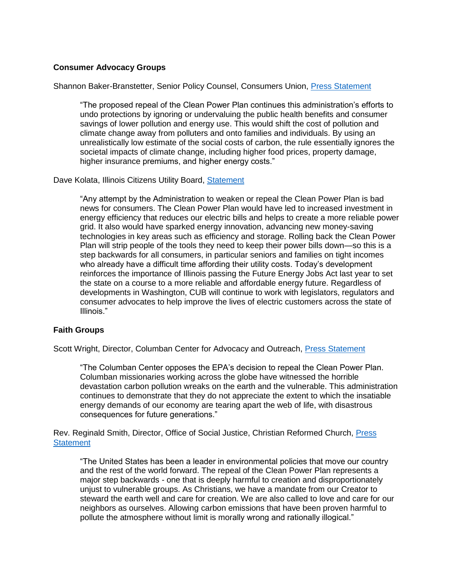# **Consumer Advocacy Groups**

## Shannon Baker-Branstetter, Senior Policy Counsel, Consumers Union, [Press Statement](http://consumersunion.org/news/epa-announces-cpp-repeal/)

"The proposed repeal of the Clean Power Plan continues this administration's efforts to undo protections by ignoring or undervaluing the public health benefits and consumer savings of lower pollution and energy use. This would shift the cost of pollution and climate change away from polluters and onto families and individuals. By using an unrealistically low estimate of the social costs of carbon, the rule essentially ignores the societal impacts of climate change, including higher food prices, property damage, higher insurance premiums, and higher energy costs."

## Dave Kolata, Illinois Citizens Utility Board, [Statement](https://citizensutilityboard.org/statement-cub-executive-director-david-kolata-clean-power-plan-roll-back/)

"Any attempt by the Administration to weaken or repeal the Clean Power Plan is bad news for consumers. The Clean Power Plan would have led to increased investment in energy efficiency that reduces our electric bills and helps to create a more reliable power grid. It also would have sparked energy innovation, advancing new money-saving technologies in key areas such as efficiency and storage. Rolling back the Clean Power Plan will strip people of the tools they need to keep their power bills down—so this is a step backwards for all consumers, in particular seniors and families on tight incomes who already have a difficult time affording their utility costs. Today's development reinforces the importance of Illinois passing the Future Energy Jobs Act last year to set the state on a course to a more reliable and affordable energy future. Regardless of developments in Washington, CUB will continue to work with legislators, regulators and consumer advocates to help improve the lives of electric customers across the state of Illinois."

## **Faith Groups**

Scott Wright, Director, Columban Center for Advocacy and Outreach, [Press Statement](http://columbancenter.org/content/faith-groups-oppose-dismantling-clean-power-plan)

"The Columban Center opposes the EPA's decision to repeal the Clean Power Plan. Columban missionaries working across the globe have witnessed the horrible devastation carbon pollution wreaks on the earth and the vulnerable. This administration continues to demonstrate that they do not appreciate the extent to which the insatiable energy demands of our economy are tearing apart the web of life, with disastrous consequences for future generations."

Rev. Reginald Smith, Director, Office of Social Justice, Christian Reformed Church, [Press](http://columbancenter.org/content/faith-groups-oppose-dismantling-clean-power-plan)  **[Statement](http://columbancenter.org/content/faith-groups-oppose-dismantling-clean-power-plan)** 

"The United States has been a leader in environmental policies that move our country and the rest of the world forward. The repeal of the Clean Power Plan represents a major step backwards - one that is deeply harmful to creation and disproportionately unjust to vulnerable groups. As Christians, we have a mandate from our Creator to steward the earth well and care for creation. We are also called to love and care for our neighbors as ourselves. Allowing carbon emissions that have been proven harmful to pollute the atmosphere without limit is morally wrong and rationally illogical."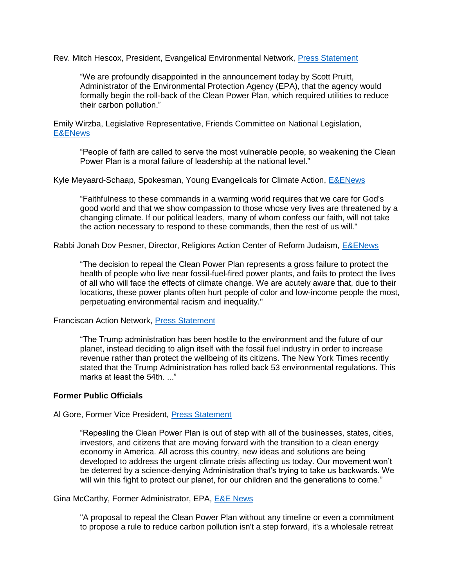Rev. Mitch Hescox, President, Evangelical Environmental Network, [Press Statement](http://www.creationcare.org/undoing_the_clean_power_plan_is_the_wrong_direction_on_climate_change_and_clean_energy)

"We are profoundly disappointed in the announcement today by Scott Pruitt, Administrator of the Environmental Protection Agency (EPA), that the agency would formally begin the roll-back of the Clean Power Plan, which required utilities to reduce their carbon pollution."

Emily Wirzba, Legislative Representative, Friends Committee on National Legislation, [E&ENews](https://www.eenews.net/greenwire/2017/10/11/stories/1060063331)

"People of faith are called to serve the most vulnerable people, so weakening the Clean Power Plan is a moral failure of leadership at the national level."

Kyle Meyaard-Schaap, Spokesman, Young Evangelicals for Climate Action, [E&ENews](https://www.eenews.net/greenwire/2017/10/11/stories/1060063331)

"Faithfulness to these commands in a warming world requires that we care for God's good world and that we show compassion to those whose very lives are threatened by a changing climate. If our political leaders, many of whom confess our faith, will not take the action necessary to respond to these commands, then the rest of us will."

Rabbi Jonah Dov Pesner, Director, Religions Action Center of Reform Judaism, [E&ENews](https://www.eenews.net/greenwire/2017/10/11/stories/1060063331)

"The decision to repeal the Clean Power Plan represents a gross failure to protect the health of people who live near fossil-fuel-fired power plants, and fails to protect the lives of all who will face the effects of climate change. We are acutely aware that, due to their locations, these power plants often hurt people of color and low-income people the most, perpetuating environmental racism and inequality."

## Franciscan Action Network, [Press Statement](http://columbancenter.org/content/faith-groups-oppose-dismantling-clean-power-plan)

"The Trump administration has been hostile to the environment and the future of our planet, instead deciding to align itself with the fossil fuel industry in order to increase revenue rather than protect the wellbeing of its citizens. The New York Times recently stated that the Trump Administration has rolled back 53 environmental regulations. This marks at least the 54th...."

## **Former Public Officials**

#### Al Gore, Former Vice President, [Press Statement](https://www.algore.com/news/statement-by-former-vice-president-al-gore-on-today-s-announcement-by-the-trump-administration-to-repeal-the-clean-power-plan)

"Repealing the Clean Power Plan is out of step with all of the businesses, states, cities, investors, and citizens that are moving forward with the transition to a clean energy economy in America. All across this country, new ideas and solutions are being developed to address the urgent climate crisis affecting us today. Our movement won't be deterred by a science-denying Administration that's trying to take us backwards. We will win this fight to protect our planet, for our children and the generations to come."

Gina McCarthy, Former Administrator, EPA, [E&E News](https://www.eenews.net/eenewspm/2017/10/06/stories/1060062977)

"A proposal to repeal the Clean Power Plan without any timeline or even a commitment to propose a rule to reduce carbon pollution isn't a step forward, it's a wholesale retreat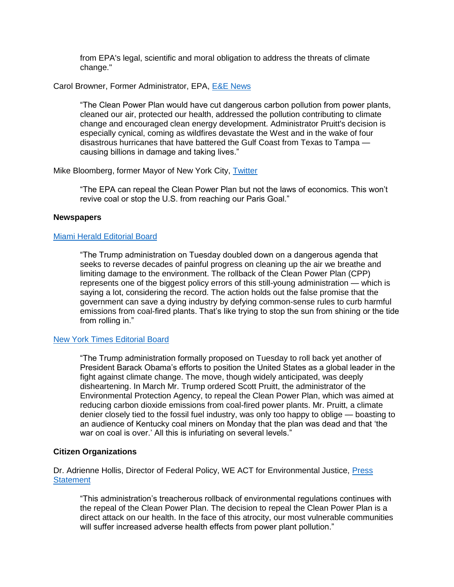from EPA's legal, scientific and moral obligation to address the threats of climate change."

Carol Browner, Former Administrator, EPA, [E&E News](https://www.eenews.net/greenwire/2017/10/10/stories/1060063225)

"The Clean Power Plan would have cut dangerous carbon pollution from power plants, cleaned our air, protected our health, addressed the pollution contributing to climate change and encouraged clean energy development. Administrator Pruitt's decision is especially cynical, coming as wildfires devastate the West and in the wake of four disastrous hurricanes that have battered the Gulf Coast from Texas to Tampa causing billions in damage and taking lives."

Mike Bloomberg, former Mayor of New York City, [Twitter](https://twitter.com/MikeBloomberg/status/917441458394804224)

"The EPA can repeal the Clean Power Plan but not the laws of economics. This won't revive coal or stop the U.S. from reaching our Paris Goal."

# **Newspapers**

# [Miami Herald Editorial Board](http://www.miamiherald.com/opinion/editorials/article178193601.html)

"The Trump administration on Tuesday doubled down on a dangerous agenda that seeks to reverse decades of painful progress on cleaning up the air we breathe and limiting damage to the environment. The rollback of the Clean Power Plan (CPP) represents one of the biggest policy errors of this still-young administration — which is saying a lot, considering the record. The action holds out the false promise that the government can save a dying industry by defying common-sense rules to curb harmful emissions from coal-fired plants. That's like trying to stop the sun from shining or the tide from rolling in."

# [New York Times Editorial Board](https://www.nytimes.com/2017/10/10/opinion/trump-coal-climate-emissions.html?action=click&contentCollection=opinion®ion=rank&module=package&version=highlights&contentPlacement=2&pgtype=sectionfront&_r=0)

"The Trump administration formally proposed on Tuesday to roll back yet another of President Barack Obama's efforts to position the United States as a global leader in the fight against climate change. The move, though widely anticipated, was deeply disheartening. In March Mr. Trump ordered Scott Pruitt, the administrator of the Environmental Protection Agency, to repeal the Clean Power Plan, which was aimed at reducing carbon dioxide emissions from coal-fired power plants. Mr. Pruitt, a climate denier closely tied to the fossil fuel industry, was only too happy to oblige — boasting to an audience of Kentucky coal miners on Monday that the plan was dead and that 'the war on coal is over.' All this is infuriating on several levels."

# **Citizen Organizations**

Dr. Adrienne Hollis, Director of Federal Policy, WE ACT for Environmental Justice, [Press](https://www.weact.org/2017/10/cpp-repeal/)  **[Statement](https://www.weact.org/2017/10/cpp-repeal/)** 

"This administration's treacherous rollback of environmental regulations continues with the repeal of the Clean Power Plan. The decision to repeal the Clean Power Plan is a direct attack on our health. In the face of this atrocity, our most vulnerable communities will suffer increased adverse health effects from power plant pollution."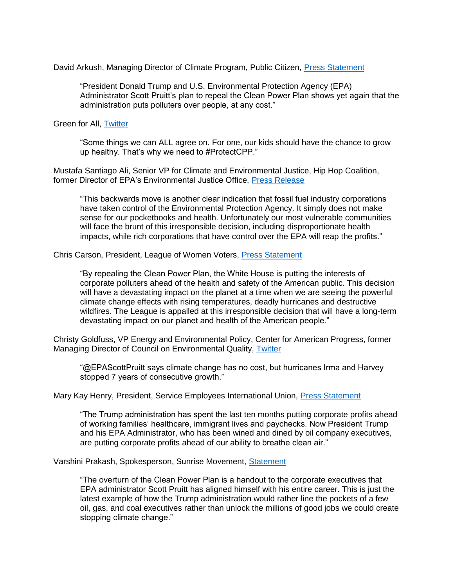David Arkush, Managing Director of Climate Program, Public Citizen, [Press Statement](https://www.citizen.org/media/press-releases/clean-power-plan-repeal-coal-industry-giveaway)

"President Donald Trump and U.S. Environmental Protection Agency (EPA) Administrator Scott Pruitt's plan to repeal the Clean Power Plan shows yet again that the administration puts polluters over people, at any cost."

Green for All, [Twitter](https://twitter.com/GreenForAll/status/915760688773046272)

"Some things we can ALL agree on. For one, our kids should have the chance to grow up healthy. That's why we need to #ProtectCPP."

Mustafa Santiago Ali, Senior VP for Climate and Environmental Justice, Hip Hop Coalition, former Director of EPA's Environmental Justice Office, [Press Release](http://hiphopcaucus.org/pressrelease-cpp-repeal/)

"This backwards move is another clear indication that fossil fuel industry corporations have taken control of the Environmental Protection Agency. It simply does not make sense for our pocketbooks and health. Unfortunately our most vulnerable communities will face the brunt of this irresponsible decision, including disproportionate health impacts, while rich corporations that have control over the EPA will reap the profits."

Chris Carson, President, League of Women Voters, [Press Statement](http://lwv.org/press-releases/league-statement-epa-clean-power-plan-repeal)

"By repealing the Clean Power Plan, the White House is putting the interests of corporate polluters ahead of the health and safety of the American public. This decision will have a devastating impact on the planet at a time when we are seeing the powerful climate change effects with rising temperatures, deadly hurricanes and destructive wildfires. The League is appalled at this irresponsible decision that will have a long-term devastating impact on our planet and health of the American people."

Christy Goldfuss, VP Energy and Environmental Policy, Center for American Progress, former Managing Director of Council on Environmental Quality, [Twitter](https://twitter.com/christygoldfuss/status/917746012407713792)

"@EPAScottPruitt says climate change has no cost, but hurricanes Irma and Harvey stopped 7 years of consecutive growth."

Mary Kay Henry, President, Service Employees International Union, [Press Statement](http://www.seiu.org/2017/10/seius-henry-clean-power-plan-repeal-puts-corporate-profits-over-health-of-working-families)

"The Trump administration has spent the last ten months putting corporate profits ahead of working families' healthcare, immigrant lives and paychecks. Now President Trump and his EPA Administrator, who has been wined and dined by oil company executives, are putting corporate profits ahead of our ability to breathe clean air."

Varshini Prakash, Spokesperson, Sunrise Movement, [Statement](https://medium.com/sunrisemvmt/sunrise-statement-on-repeal-of-clean-power-plan-61e17a515017)

"The overturn of the Clean Power Plan is a handout to the corporate executives that EPA administrator Scott Pruitt has aligned himself with his entire career. This is just the latest example of how the Trump administration would rather line the pockets of a few oil, gas, and coal executives rather than unlock the millions of good jobs we could create stopping climate change."